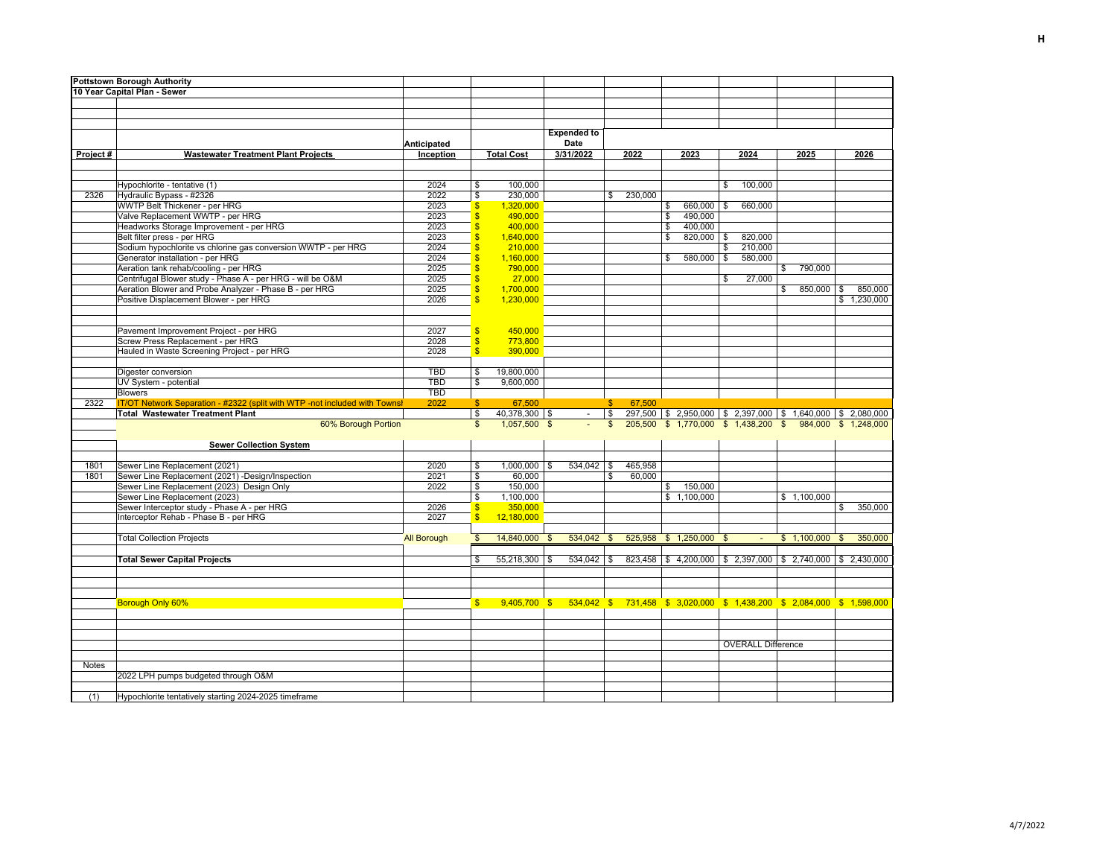| <b>Pottstown Borough Authority</b> |                                                                            |                    |                         |                   |                                                                                        |              |         |                                                                   |              |                           |             |         |              |                      |
|------------------------------------|----------------------------------------------------------------------------|--------------------|-------------------------|-------------------|----------------------------------------------------------------------------------------|--------------|---------|-------------------------------------------------------------------|--------------|---------------------------|-------------|---------|--------------|----------------------|
| 10 Year Capital Plan - Sewer       |                                                                            |                    |                         |                   |                                                                                        |              |         |                                                                   |              |                           |             |         |              |                      |
|                                    |                                                                            |                    |                         |                   |                                                                                        |              |         |                                                                   |              |                           |             |         |              |                      |
|                                    |                                                                            |                    |                         |                   |                                                                                        |              |         |                                                                   |              |                           |             |         |              |                      |
|                                    |                                                                            |                    |                         |                   |                                                                                        |              |         |                                                                   |              |                           |             |         |              |                      |
|                                    |                                                                            |                    |                         |                   | <b>Expended to</b>                                                                     |              |         |                                                                   |              |                           |             |         |              |                      |
|                                    |                                                                            | Anticipated        |                         |                   | Date                                                                                   |              |         |                                                                   |              |                           |             |         |              |                      |
| Project#                           | <b>Wastewater Treatment Plant Projects</b>                                 | Inception          |                         | <b>Total Cost</b> | 3/31/2022                                                                              |              | 2022    | 2023                                                              |              | 2024                      | 2025        |         |              | 2026                 |
|                                    |                                                                            |                    |                         |                   |                                                                                        |              |         |                                                                   |              |                           |             |         |              |                      |
|                                    |                                                                            |                    |                         |                   |                                                                                        |              |         |                                                                   |              |                           |             |         |              |                      |
|                                    | Hypochlorite - tentative (1)                                               | 2024               | \$                      | 100,000           |                                                                                        |              |         |                                                                   | \$           | 100,000                   |             |         |              |                      |
| 2326                               | Hydraulic Bypass - #2326                                                   | 2022               | \$                      | 230,000           |                                                                                        | \$           | 230,000 |                                                                   |              |                           |             |         |              |                      |
|                                    | WWTP Belt Thickener - per HRG                                              | 2023               | $\frac{1}{2}$           | 1,320,000         |                                                                                        |              |         | \$<br>660,000                                                     | -S           | 660,000                   |             |         |              |                      |
|                                    | Valve Replacement WWTP - per HRG                                           | 2023               | $\mathsf{\$}$           | 490,000           |                                                                                        |              |         | \$<br>490,000                                                     |              |                           |             |         |              |                      |
|                                    | Headworks Storage Improvement - per HRG                                    | 2023               | <sub>\$</sub>           | 400,000           |                                                                                        |              |         | \$<br>400,000                                                     |              |                           |             |         |              |                      |
|                                    | Belt filter press - per HRG                                                | 2023               | S                       | 1,640,000         |                                                                                        |              |         | \$<br>$820,000$ \$                                                |              | 820,000                   |             |         |              |                      |
|                                    | Sodium hypochlorite vs chlorine gas conversion WWTP - per HRG              | 2024               | <sub>\$</sub>           | 210,000           |                                                                                        |              |         |                                                                   | \$           | 210,000                   |             |         |              |                      |
|                                    | Generator installation - per HRG                                           | 2024               | <sub>\$</sub>           | 1,160,000         |                                                                                        |              |         | \$<br>580,000                                                     | -S           | 580,000                   |             |         |              |                      |
|                                    | Aeration tank rehab/cooling - per HRG                                      | 2025               | <sub>\$</sub>           | 790,000           |                                                                                        |              |         |                                                                   |              |                           | \$          | 790,000 |              |                      |
|                                    | Centrifugal Blower study - Phase A - per HRG - will be O&M                 | 2025               | $\overline{\mathbf{s}}$ | 27,000            |                                                                                        |              |         |                                                                   | \$           | 27,000                    |             |         |              |                      |
|                                    | Aeration Blower and Probe Analyzer - Phase B - per HRG                     | 2025               | $\overline{\mathbf{s}}$ | 1,700,000         |                                                                                        |              |         |                                                                   |              |                           | \$          | 850,000 | \$           | 850,000              |
|                                    | Positive Displacement Blower - per HRG                                     | 2026               | $\overline{\mathbb{S}}$ | 1,230,000         |                                                                                        |              |         |                                                                   |              |                           |             |         |              | \$1,230,000          |
|                                    |                                                                            |                    |                         |                   |                                                                                        |              |         |                                                                   |              |                           |             |         |              |                      |
|                                    |                                                                            |                    |                         |                   |                                                                                        |              |         |                                                                   |              |                           |             |         |              |                      |
|                                    | Pavement Improvement Project - per HRG                                     | 2027               | $\overline{\mathbf{3}}$ | 450,000           |                                                                                        |              |         |                                                                   |              |                           |             |         |              |                      |
|                                    | Screw Press Replacement - per HRG                                          | 2028               | $\sqrt{3}$              | 773,800           |                                                                                        |              |         |                                                                   |              |                           |             |         |              |                      |
|                                    | Hauled in Waste Screening Project - per HRG                                | 2028               | $\overline{\mathbb{S}}$ | 390,000           |                                                                                        |              |         |                                                                   |              |                           |             |         |              |                      |
|                                    |                                                                            |                    |                         |                   |                                                                                        |              |         |                                                                   |              |                           |             |         |              |                      |
|                                    | Digester conversion                                                        | <b>TBD</b>         | \$                      | 19,800,000        |                                                                                        |              |         |                                                                   |              |                           |             |         |              |                      |
|                                    | UV System - potential                                                      | <b>TBD</b>         | S                       | 9,600,000         |                                                                                        |              |         |                                                                   |              |                           |             |         |              |                      |
|                                    | <b>Blowers</b>                                                             | <b>TBD</b>         |                         |                   |                                                                                        |              |         |                                                                   |              |                           |             |         |              |                      |
| 2322                               |                                                                            |                    |                         |                   |                                                                                        |              |         |                                                                   |              |                           |             |         |              |                      |
|                                    | IT/OT Network Separation - #2322 (split with WTP -not included with Townsl | 2022               | $\mathsf{\$}$           | 67,500            |                                                                                        | s            | 67,500  |                                                                   |              |                           |             |         |              |                      |
|                                    | <b>Total Wastewater Treatment Plant</b>                                    |                    | <b>S</b>                | 40,378,300 \$     |                                                                                        | l \$         |         | 297,500 \$2,950,000 \$2,397,000 \$1,640,000 \$2,080,000           |              |                           |             |         |              |                      |
|                                    | 60% Borough Portion                                                        |                    | $\mathbb{S}$            | 1,057,500 \$      |                                                                                        | $\mathbb{S}$ |         | 205,500 \$ 1,770,000 \$ 1,438,200                                 |              |                           | $\sqrt{3}$  |         |              | 984,000 \$ 1,248,000 |
|                                    |                                                                            |                    |                         |                   |                                                                                        |              |         |                                                                   |              |                           |             |         |              |                      |
|                                    | <b>Sewer Collection System</b>                                             |                    |                         |                   |                                                                                        |              |         |                                                                   |              |                           |             |         |              |                      |
|                                    |                                                                            |                    |                         |                   |                                                                                        |              |         |                                                                   |              |                           |             |         |              |                      |
| 1801                               | Sewer Line Replacement (2021)                                              | 2020               | \$                      | $1,000,000$ \$    | $534,042$ \$                                                                           |              | 465,958 |                                                                   |              |                           |             |         |              |                      |
| 1801                               | Sewer Line Replacement (2021) -Design/Inspection                           | 2021               | \$                      | 60,000            |                                                                                        | \$           | 60,000  |                                                                   |              |                           |             |         |              |                      |
|                                    | Sewer Line Replacement (2023) Design Only                                  | 2022               | $\mathfrak s$           | 150,000           |                                                                                        |              |         | \$<br>150,000                                                     |              |                           |             |         |              |                      |
|                                    | Sewer Line Replacement (2023)                                              |                    | \$                      | 1,100,000         |                                                                                        |              |         | \$1,100,000                                                       |              |                           | \$1,100,000 |         |              |                      |
|                                    | Sewer Interceptor study - Phase A - per HRG                                | 2026               | $\sqrt[3]{\frac{1}{2}}$ | 350,000           |                                                                                        |              |         |                                                                   |              |                           |             |         | \$           | 350,000              |
|                                    | Interceptor Rehab - Phase B - per HRG                                      | 2027               | $\mathbf{s}$            | 12,180,000        |                                                                                        |              |         |                                                                   |              |                           |             |         |              |                      |
|                                    |                                                                            |                    |                         |                   |                                                                                        |              |         |                                                                   |              |                           |             |         |              |                      |
|                                    | <b>Total Collection Projects</b>                                           | <b>All Borough</b> | $\mathfrak{L}$          | 14,840,000        | 534,042 \$                                                                             |              |         | 525,958 \$ 1,250,000                                              | $\mathbf{s}$ |                           | \$1,100,000 |         | $\mathbf{s}$ | 350,000              |
|                                    |                                                                            |                    |                         |                   |                                                                                        |              |         |                                                                   |              |                           |             |         |              |                      |
|                                    | <b>Total Sewer Capital Projects</b>                                        |                    | \$                      | $55,218,300$ \ \$ | $534,042$ \$                                                                           |              |         | $823,458$   \$4,200,000   \$2,397,000   \$2,740,000   \$2,430,000 |              |                           |             |         |              |                      |
|                                    |                                                                            |                    |                         |                   |                                                                                        |              |         |                                                                   |              |                           |             |         |              |                      |
|                                    |                                                                            |                    |                         |                   |                                                                                        |              |         |                                                                   |              |                           |             |         |              |                      |
|                                    |                                                                            |                    |                         |                   |                                                                                        |              |         |                                                                   |              |                           |             |         |              |                      |
|                                    | Borough Only 60%                                                           |                    |                         |                   | \$ 9,405,700 \$ 534,042 \$ 731,458 \$ 3,020,000 \$ 1,438,200 \$ 2,084,000 \$ 1,598,000 |              |         |                                                                   |              |                           |             |         |              |                      |
|                                    |                                                                            |                    |                         |                   |                                                                                        |              |         |                                                                   |              |                           |             |         |              |                      |
|                                    |                                                                            |                    |                         |                   |                                                                                        |              |         |                                                                   |              |                           |             |         |              |                      |
|                                    |                                                                            |                    |                         |                   |                                                                                        |              |         |                                                                   |              |                           |             |         |              |                      |
|                                    |                                                                            |                    |                         |                   |                                                                                        |              |         |                                                                   |              | <b>OVERALL Difference</b> |             |         |              |                      |
|                                    |                                                                            |                    |                         |                   |                                                                                        |              |         |                                                                   |              |                           |             |         |              |                      |
| <b>Notes</b>                       |                                                                            |                    |                         |                   |                                                                                        |              |         |                                                                   |              |                           |             |         |              |                      |
|                                    | 2022 LPH pumps budgeted through O&M                                        |                    |                         |                   |                                                                                        |              |         |                                                                   |              |                           |             |         |              |                      |
| (1)                                | Hypochlorite tentatively starting 2024-2025 timeframe                      |                    |                         |                   |                                                                                        |              |         |                                                                   |              |                           |             |         |              |                      |